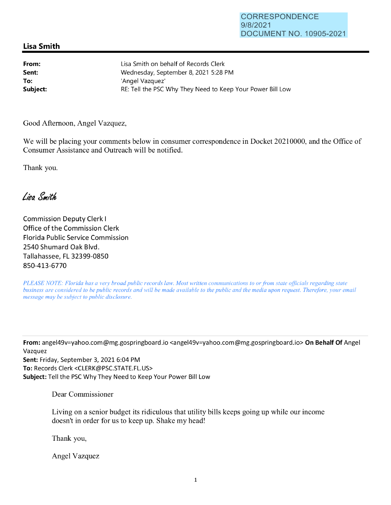## **Lisa Smith**

**From: Sent: To:** 

Lisa Smith on behalf of Records Clerk Wednesday, September 8, 2021 5:28 PM 'Angel Vazquez' Subject: **Subject: RE: Tell the PSC Why They Need to Keep Your Power Bill Low** 

Good Afternoon, Angel Vazquez,

We will be placing your comments below in consumer correspondence in Docket 20210000, and the Office of Consumer Assistance and Outreach will be notified.

Thank you.

Lisa Smith

Commission Deputy Clerk I Office of the Commission Clerk Florida Public Service Commission 2540 Shumard Oak Blvd. Tallahassee, FL 32399-0850 850-413-6770

*PLEASE NOTE: Florida has a very broad public records law. Most written communications to or from state officials regarding state business are considered to be public records and will be made available to the public and the media upon request. Therefore, your email message may be subject to public disclosure.* 

**From:** angel49v=yahoo.com@mg.gospringboard.io <angel49v=yahoo.com@mg.gospringboard.io> **On Behalf Of** Angel Vazquez **Sent:** Friday, September 3, 2021 6:04 PM **To:** Records Clerk <CLERK@PSC.STATE.FL.US> **Subject:** Tell the PSC Why They Need to Keep Your Power Bill Low

Dear Commissioner

Living on a senior budget its ridiculous that utility bills keeps going up while our income doesn't in order for us to keep up. Shake my head!

Thank you,

Angel Vazquez